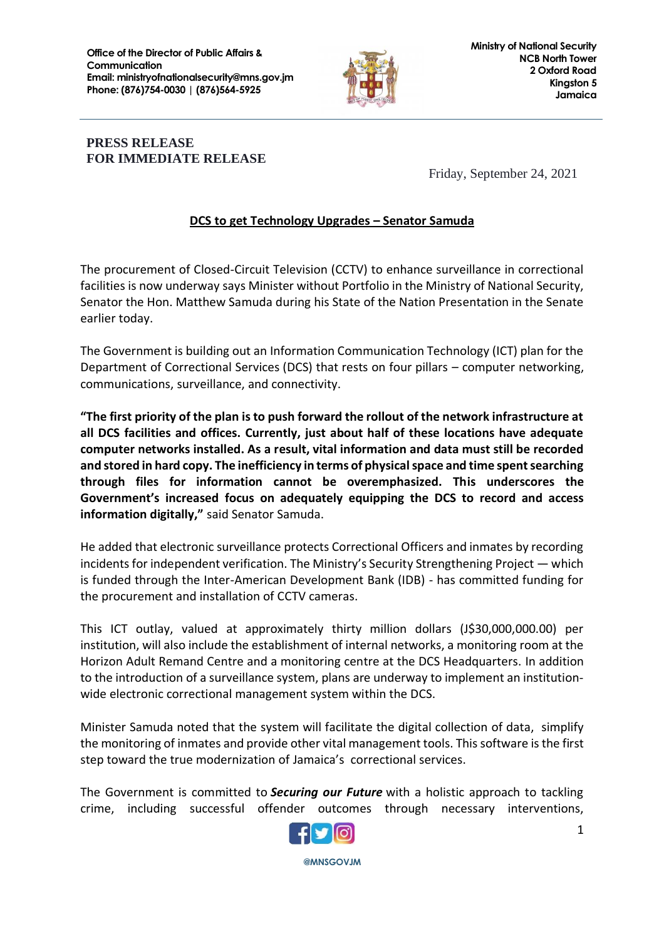

## **PRESS RELEASE FOR IMMEDIATE RELEASE**

Friday, September 24, 2021

## **DCS to get Technology Upgrades – Senator Samuda**

The procurement of Closed-Circuit Television (CCTV) to enhance surveillance in correctional facilities is now underway says Minister without Portfolio in the Ministry of National Security, Senator the Hon. Matthew Samuda during his State of the Nation Presentation in the Senate earlier today.

The Government is building out an Information Communication Technology (ICT) plan for the Department of Correctional Services (DCS) that rests on four pillars – computer networking, communications, surveillance, and connectivity.

**"The first priority of the plan is to push forward the rollout of the network infrastructure at all DCS facilities and offices. Currently, just about half of these locations have adequate computer networks installed. As a result, vital information and data must still be recorded and stored in hard copy. The inefficiency in terms of physical space and time spent searching through files for information cannot be overemphasized. This underscores the Government's increased focus on adequately equipping the DCS to record and access information digitally,"** said Senator Samuda.

He added that electronic surveillance protects Correctional Officers and inmates by recording incidents for independent verification. The Ministry's Security Strengthening Project — which is funded through the Inter-American Development Bank (IDB) - has committed funding for the procurement and installation of CCTV cameras.

This ICT outlay, valued at approximately thirty million dollars (J\$30,000,000.00) per institution, will also include the establishment of internal networks, a monitoring room at the Horizon Adult Remand Centre and a monitoring centre at the DCS Headquarters. In addition to the introduction of a surveillance system, plans are underway to implement an institutionwide electronic correctional management system within the DCS.

Minister Samuda noted that the system will facilitate the digital collection of data, simplify the monitoring of inmates and provide other vital management tools. This software is the first step toward the true modernization of Jamaica's correctional services.

The Government is committed to *Securing our Future* with a holistic approach to tackling crime, including successful offender outcomes through necessary interventions,